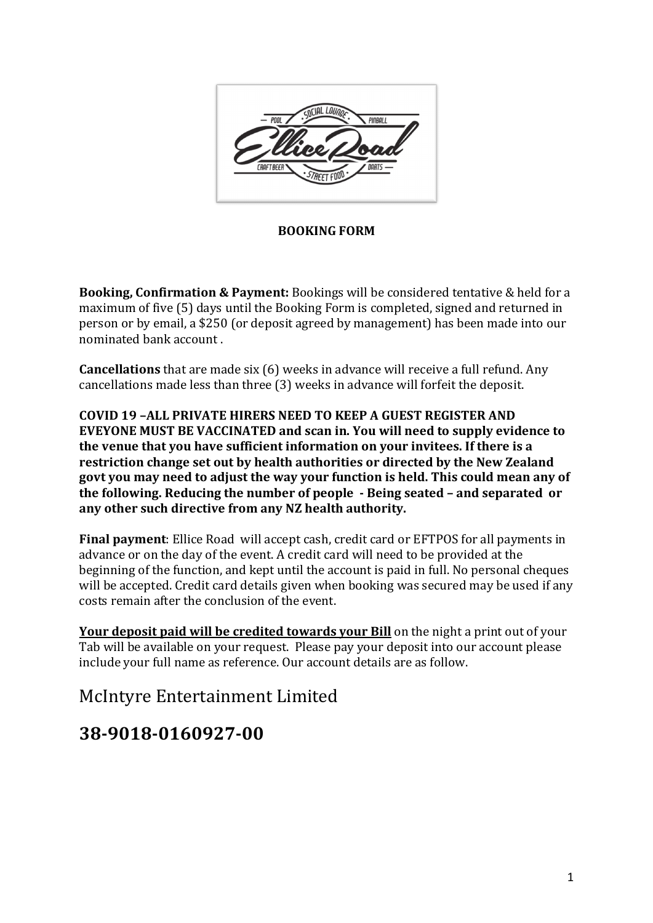

**BOOKING FORM** 

**Booking, Confirmation & Payment:** Bookings will be considered tentative & held for a maximum of five (5) days until the Booking Form is completed, signed and returned in person or by email, a \$250 (or deposit agreed by management) has been made into our nominated bank account.

**Cancellations** that are made six (6) weeks in advance will receive a full refund. Any cancellations made less than three (3) weeks in advance will forfeit the deposit.

**COVID 19 -ALL PRIVATE HIRERS NEED TO KEEP A GUEST REGISTER AND EVEYONE MUST BE VACCINATED and scan in. You will need to supply evidence to the venue that you have sufficient information on your invitees. If there is a restriction change set out by health authorities or directed by the New Zealand** govt you may need to adjust the way your function is held. This could mean any of **the following. Reducing the number of people** - Being seated - and separated or any other such directive from any NZ health authority.

**Final payment**: Ellice Road will accept cash, credit card or EFTPOS for all payments in advance or on the day of the event. A credit card will need to be provided at the beginning of the function, and kept until the account is paid in full. No personal cheques will be accepted. Credit card details given when booking was secured may be used if any costs remain after the conclusion of the event.

**Your deposit paid will be credited towards your Bill** on the night a print out of your Tab will be available on your request. Please pay your deposit into our account please include your full name as reference. Our account details are as follow.

McIntyre Entertainment Limited

## **38-9018-0160927-00**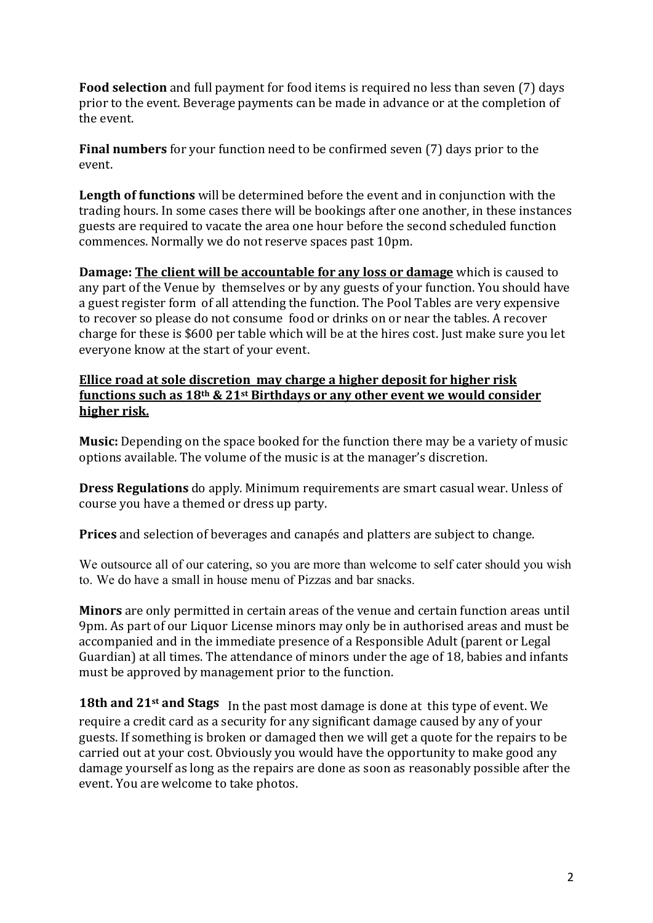**Food selection** and full payment for food items is required no less than seven (7) days prior to the event. Beverage payments can be made in advance or at the completion of the event

**Final numbers** for your function need to be confirmed seven (7) days prior to the event. 

**Length of functions** will be determined before the event and in conjunction with the trading hours. In some cases there will be bookings after one another, in these instances guests are required to vacate the area one hour before the second scheduled function commences. Normally we do not reserve spaces past 10pm.

**Damage:** The client will be accountable for any loss or damage which is caused to any part of the Venue by themselves or by any guests of your function. You should have a guest register form of all attending the function. The Pool Tables are very expensive to recover so please do not consume food or drinks on or near the tables. A recover charge for these is \$600 per table which will be at the hires cost. Just make sure you let everyone know at the start of your event.

## **Ellice road at sole discretion may charge a higher deposit for higher risk functions such as 18<sup>th</sup> & 21<sup>st</sup> Birthdays or any other event we would consider higher risk.**

**Music:** Depending on the space booked for the function there may be a variety of music options available. The volume of the music is at the manager's discretion.

**Dress Regulations** do apply. Minimum requirements are smart casual wear. Unless of course you have a themed or dress up party.

**Prices** and selection of beverages and canapés and platters are subject to change.

We outsource all of our catering, so you are more than welcome to self cater should you wish to. We do have a small in house menu of Pizzas and bar snacks.

**Minors** are only permitted in certain areas of the venue and certain function areas until 9pm. As part of our Liquor License minors may only be in authorised areas and must be accompanied and in the immediate presence of a Responsible Adult (parent or Legal Guardian) at all times. The attendance of minors under the age of 18, babies and infants must be approved by management prior to the function.

**18th and 21st and Stags** In the past most damage is done at this type of event. We require a credit card as a security for any significant damage caused by any of your guests. If something is broken or damaged then we will get a quote for the repairs to be carried out at your cost. Obviously you would have the opportunity to make good any damage yourself as long as the repairs are done as soon as reasonably possible after the event. You are welcome to take photos.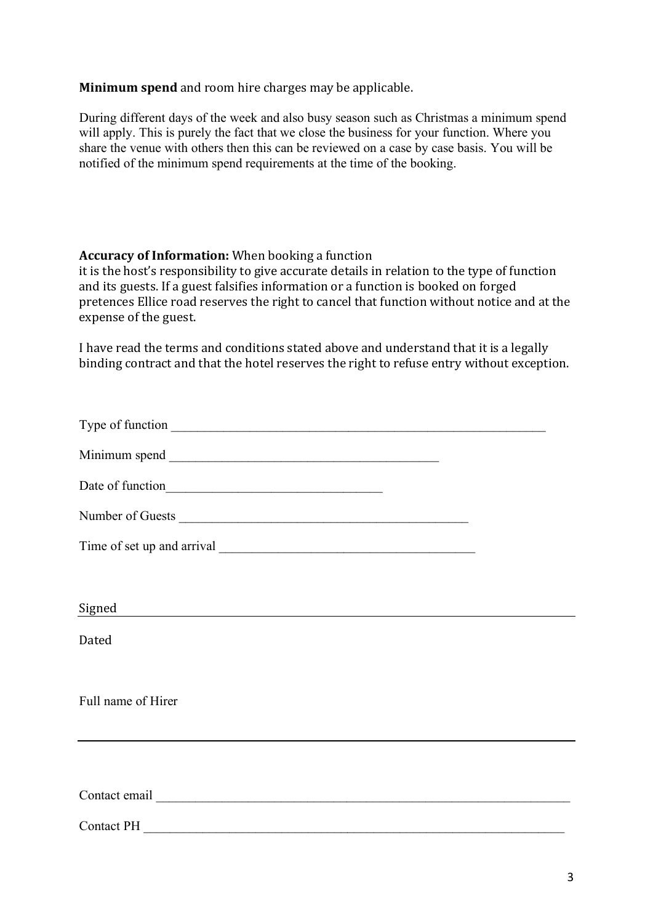**Minimum spend** and room hire charges may be applicable.

During different days of the week and also busy season such as Christmas a minimum spend will apply. This is purely the fact that we close the business for your function. Where you share the venue with others then this can be reviewed on a case by case basis. You will be notified of the minimum spend requirements at the time of the booking.

## **Accuracy of Information:** When booking a function

it is the host's responsibility to give accurate details in relation to the type of function and its guests. If a guest falsifies information or a function is booked on forged pretences Ellice road reserves the right to cancel that function without notice and at the expense of the guest.

I have read the terms and conditions stated above and understand that it is a legally binding contract and that the hotel reserves the right to refuse entry without exception.

| Signed             |  |
|--------------------|--|
| Dated              |  |
|                    |  |
| Full name of Hirer |  |
|                    |  |
|                    |  |
|                    |  |
| <b>Contact PH</b>  |  |